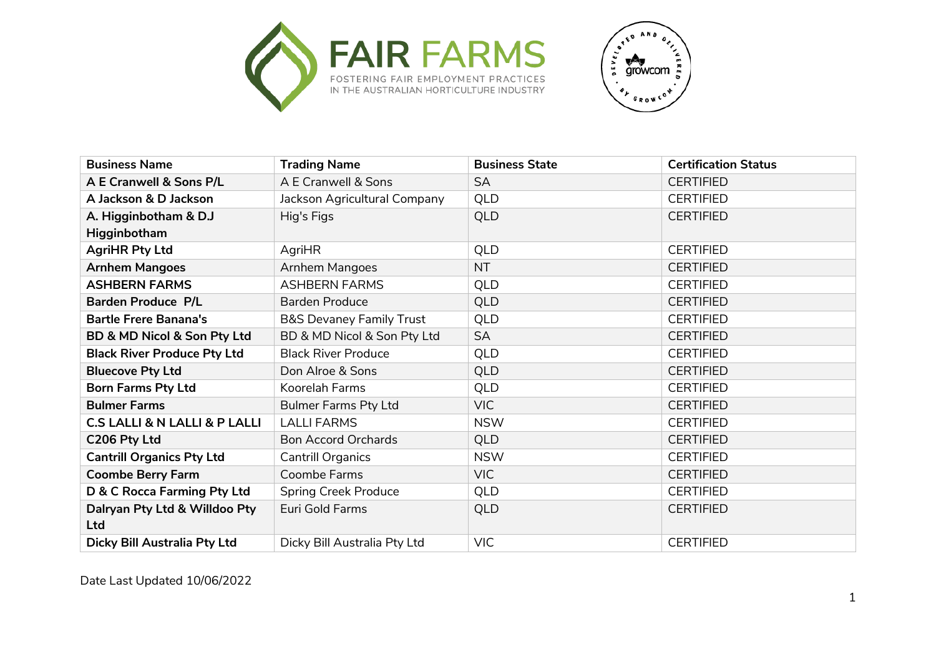



| <b>Business Name</b>                         | <b>Trading Name</b>                 | <b>Business State</b> | <b>Certification Status</b> |
|----------------------------------------------|-------------------------------------|-----------------------|-----------------------------|
| A E Cranwell & Sons P/L                      | A E Cranwell & Sons                 | <b>SA</b>             | <b>CERTIFIED</b>            |
| A Jackson & D Jackson                        | Jackson Agricultural Company        | <b>QLD</b>            | <b>CERTIFIED</b>            |
| A. Higginbotham & D.J                        | Hig's Figs                          | <b>QLD</b>            | <b>CERTIFIED</b>            |
| Higginbotham                                 |                                     |                       |                             |
| <b>AgriHR Pty Ltd</b>                        | AgriHR                              | QLD                   | <b>CERTIFIED</b>            |
| <b>Arnhem Mangoes</b>                        | <b>Arnhem Mangoes</b>               | <b>NT</b>             | <b>CERTIFIED</b>            |
| <b>ASHBERN FARMS</b>                         | <b>ASHBERN FARMS</b>                | QLD                   | <b>CERTIFIED</b>            |
| <b>Barden Produce P/L</b>                    | <b>Barden Produce</b>               | <b>QLD</b>            | <b>CERTIFIED</b>            |
| <b>Bartle Frere Banana's</b>                 | <b>B&amp;S Devaney Family Trust</b> | <b>QLD</b>            | <b>CERTIFIED</b>            |
| BD & MD Nicol & Son Pty Ltd                  | BD & MD Nicol & Son Pty Ltd         | <b>SA</b>             | <b>CERTIFIED</b>            |
| <b>Black River Produce Pty Ltd</b>           | <b>Black River Produce</b>          | QLD                   | <b>CERTIFIED</b>            |
| <b>Bluecove Pty Ltd</b>                      | Don Alroe & Sons                    | <b>QLD</b>            | <b>CERTIFIED</b>            |
| <b>Born Farms Pty Ltd</b>                    | Koorelah Farms                      | QLD                   | <b>CERTIFIED</b>            |
| <b>Bulmer Farms</b>                          | <b>Bulmer Farms Pty Ltd</b>         | <b>VIC</b>            | <b>CERTIFIED</b>            |
| <b>C.S LALLI &amp; N LALLI &amp; P LALLI</b> | <b>LALLI FARMS</b>                  | <b>NSW</b>            | <b>CERTIFIED</b>            |
| C206 Pty Ltd                                 | <b>Bon Accord Orchards</b>          | <b>QLD</b>            | <b>CERTIFIED</b>            |
| <b>Cantrill Organics Pty Ltd</b>             | Cantrill Organics                   | <b>NSW</b>            | <b>CERTIFIED</b>            |
| <b>Coombe Berry Farm</b>                     | Coombe Farms                        | VIC                   | <b>CERTIFIED</b>            |
| D & C Rocca Farming Pty Ltd                  | <b>Spring Creek Produce</b>         | QLD                   | <b>CERTIFIED</b>            |
| Dalryan Pty Ltd & Willdoo Pty                | Euri Gold Farms                     | <b>QLD</b>            | <b>CERTIFIED</b>            |
| Ltd                                          |                                     |                       |                             |
| Dicky Bill Australia Pty Ltd                 | Dicky Bill Australia Pty Ltd        | <b>VIC</b>            | <b>CERTIFIED</b>            |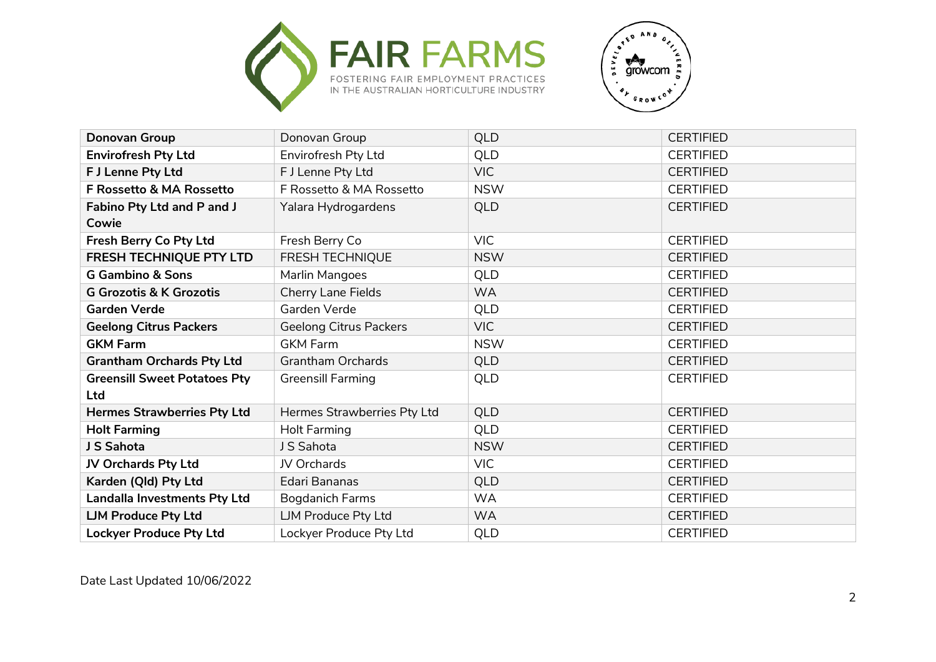



| Donovan Group                       | Donovan Group                 | <b>QLD</b> | <b>CERTIFIED</b> |
|-------------------------------------|-------------------------------|------------|------------------|
| <b>Envirofresh Pty Ltd</b>          | Envirofresh Pty Ltd           | QLD        | <b>CERTIFIED</b> |
| F J Lenne Pty Ltd                   | F J Lenne Pty Ltd             | VIC        | <b>CERTIFIED</b> |
| F Rossetto & MA Rossetto            | F Rossetto & MA Rossetto      | <b>NSW</b> | <b>CERTIFIED</b> |
| Fabino Pty Ltd and P and J          | Yalara Hydrogardens           | <b>QLD</b> | <b>CERTIFIED</b> |
| Cowie                               |                               |            |                  |
| Fresh Berry Co Pty Ltd              | Fresh Berry Co                | VIC        | <b>CERTIFIED</b> |
| <b>FRESH TECHNIQUE PTY LTD</b>      | <b>FRESH TECHNIQUE</b>        | <b>NSW</b> | <b>CERTIFIED</b> |
| <b>G Gambino &amp; Sons</b>         | Marlin Mangoes                | <b>QLD</b> | <b>CERTIFIED</b> |
| <b>G Grozotis &amp; K Grozotis</b>  | Cherry Lane Fields            | <b>WA</b>  | <b>CERTIFIED</b> |
| <b>Garden Verde</b>                 | Garden Verde                  | QLD        | <b>CERTIFIED</b> |
| <b>Geelong Citrus Packers</b>       | <b>Geelong Citrus Packers</b> | VIC        | <b>CERTIFIED</b> |
| <b>GKM Farm</b>                     | <b>GKM Farm</b>               | <b>NSW</b> | <b>CERTIFIED</b> |
| <b>Grantham Orchards Pty Ltd</b>    | <b>Grantham Orchards</b>      | <b>QLD</b> | <b>CERTIFIED</b> |
| <b>Greensill Sweet Potatoes Pty</b> | <b>Greensill Farming</b>      | QLD        | <b>CERTIFIED</b> |
| <b>Ltd</b>                          |                               |            |                  |
| <b>Hermes Strawberries Pty Ltd</b>  | Hermes Strawberries Pty Ltd   | <b>QLD</b> | <b>CERTIFIED</b> |
| <b>Holt Farming</b>                 | Holt Farming                  | QLD        | <b>CERTIFIED</b> |
| J S Sahota                          | J S Sahota                    | <b>NSW</b> | <b>CERTIFIED</b> |
| JV Orchards Pty Ltd                 | JV Orchards                   | VIC        | <b>CERTIFIED</b> |
| Karden (Qld) Pty Ltd                | Edari Bananas                 | QLD        | <b>CERTIFIED</b> |
| Landalla Investments Pty Ltd        | Bogdanich Farms               | <b>WA</b>  | <b>CERTIFIED</b> |
| <b>LJM Produce Pty Ltd</b>          | LJM Produce Pty Ltd           | <b>WA</b>  | <b>CERTIFIED</b> |
| <b>Lockyer Produce Pty Ltd</b>      | Lockyer Produce Pty Ltd       | QLD        | <b>CERTIFIED</b> |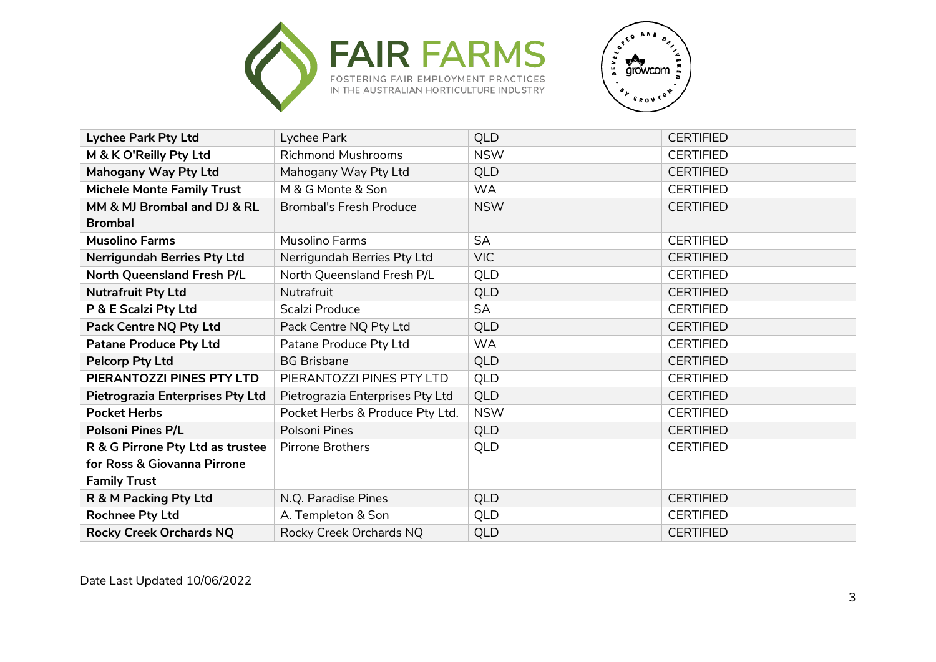



| <b>Lychee Park Pty Ltd</b>              | Lychee Park                      | <b>QLD</b> | <b>CERTIFIED</b> |
|-----------------------------------------|----------------------------------|------------|------------------|
| M & K O'Reilly Pty Ltd                  | <b>Richmond Mushrooms</b>        | <b>NSW</b> | <b>CERTIFIED</b> |
| Mahogany Way Pty Ltd                    | Mahogany Way Pty Ltd             | <b>QLD</b> | <b>CERTIFIED</b> |
| <b>Michele Monte Family Trust</b>       | M & G Monte & Son                | <b>WA</b>  | <b>CERTIFIED</b> |
| MM & MJ Brombal and DJ & RL             | <b>Brombal's Fresh Produce</b>   | <b>NSW</b> | <b>CERTIFIED</b> |
| <b>Brombal</b>                          |                                  |            |                  |
| <b>Musolino Farms</b>                   | Musolino Farms                   | <b>SA</b>  | <b>CERTIFIED</b> |
| <b>Nerrigundah Berries Pty Ltd</b>      | Nerrigundah Berries Pty Ltd      | <b>VIC</b> | <b>CERTIFIED</b> |
| <b>North Queensland Fresh P/L</b>       | North Queensland Fresh P/L       | QLD        | <b>CERTIFIED</b> |
| <b>Nutrafruit Pty Ltd</b>               | Nutrafruit                       | <b>QLD</b> | <b>CERTIFIED</b> |
| P & E Scalzi Pty Ltd                    | Scalzi Produce                   | <b>SA</b>  | <b>CERTIFIED</b> |
| <b>Pack Centre NQ Pty Ltd</b>           | Pack Centre NQ Pty Ltd           | <b>QLD</b> | <b>CERTIFIED</b> |
| <b>Patane Produce Pty Ltd</b>           | Patane Produce Pty Ltd           | <b>WA</b>  | <b>CERTIFIED</b> |
| <b>Pelcorp Pty Ltd</b>                  | <b>BG Brisbane</b>               | <b>QLD</b> | <b>CERTIFIED</b> |
| PIERANTOZZI PINES PTY LTD               | PIERANTOZZI PINES PTY LTD        | QLD        | <b>CERTIFIED</b> |
| <b>Pietrograzia Enterprises Pty Ltd</b> | Pietrograzia Enterprises Pty Ltd | <b>QLD</b> | <b>CERTIFIED</b> |
| <b>Pocket Herbs</b>                     | Pocket Herbs & Produce Pty Ltd.  | <b>NSW</b> | <b>CERTIFIED</b> |
| <b>Polsoni Pines P/L</b>                | Polsoni Pines                    | <b>QLD</b> | <b>CERTIFIED</b> |
| R & G Pirrone Pty Ltd as trustee        | <b>Pirrone Brothers</b>          | <b>QLD</b> | <b>CERTIFIED</b> |
| for Ross & Giovanna Pirrone             |                                  |            |                  |
| <b>Family Trust</b>                     |                                  |            |                  |
| R & M Packing Pty Ltd                   | N.Q. Paradise Pines              | <b>QLD</b> | <b>CERTIFIED</b> |
| <b>Rochnee Pty Ltd</b>                  | A. Templeton & Son               | QLD        | <b>CERTIFIED</b> |
| <b>Rocky Creek Orchards NQ</b>          | Rocky Creek Orchards NQ          | <b>QLD</b> | <b>CERTIFIED</b> |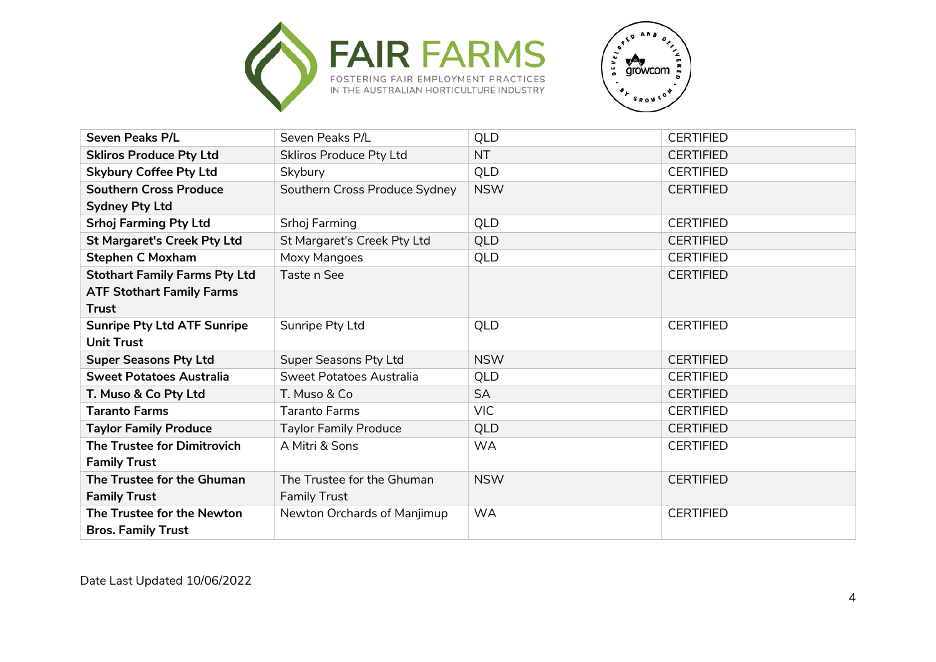



| <b>Seven Peaks P/L</b>               | Seven Peaks P/L                 | QLD        | <b>CERTIFIED</b> |
|--------------------------------------|---------------------------------|------------|------------------|
| <b>Skliros Produce Pty Ltd</b>       | <b>Skliros Produce Pty Ltd</b>  | <b>NT</b>  | <b>CERTIFIED</b> |
| <b>Skybury Coffee Pty Ltd</b>        | Skybury                         | <b>QLD</b> | <b>CERTIFIED</b> |
| <b>Southern Cross Produce</b>        | Southern Cross Produce Sydney   | <b>NSW</b> | <b>CERTIFIED</b> |
| <b>Sydney Pty Ltd</b>                |                                 |            |                  |
| <b>Srhoj Farming Pty Ltd</b>         | Srhoj Farming                   | QLD        | <b>CERTIFIED</b> |
| <b>St Margaret's Creek Pty Ltd</b>   | St Margaret's Creek Pty Ltd     | QLD        | <b>CERTIFIED</b> |
| <b>Stephen C Moxham</b>              | Moxy Mangoes                    | QLD        | <b>CERTIFIED</b> |
| <b>Stothart Family Farms Pty Ltd</b> | Taste n See                     |            | <b>CERTIFIED</b> |
| <b>ATF Stothart Family Farms</b>     |                                 |            |                  |
| <b>Trust</b>                         |                                 |            |                  |
| <b>Sunripe Pty Ltd ATF Sunripe</b>   | Sunripe Pty Ltd                 | <b>QLD</b> | <b>CERTIFIED</b> |
| <b>Unit Trust</b>                    |                                 |            |                  |
| <b>Super Seasons Pty Ltd</b>         | Super Seasons Pty Ltd           | <b>NSW</b> | <b>CERTIFIED</b> |
| <b>Sweet Potatoes Australia</b>      | <b>Sweet Potatoes Australia</b> | QLD        | <b>CERTIFIED</b> |
| T. Muso & Co Pty Ltd                 | T. Muso & Co                    | <b>SA</b>  | <b>CERTIFIED</b> |
| <b>Taranto Farms</b>                 | <b>Taranto Farms</b>            | <b>VIC</b> | <b>CERTIFIED</b> |
| <b>Taylor Family Produce</b>         | <b>Taylor Family Produce</b>    | QLD        | <b>CERTIFIED</b> |
| The Trustee for Dimitrovich          | A Mitri & Sons                  | <b>WA</b>  | <b>CERTIFIED</b> |
| <b>Family Trust</b>                  |                                 |            |                  |
| The Trustee for the Ghuman           | The Trustee for the Ghuman      | <b>NSW</b> | <b>CERTIFIED</b> |
| <b>Family Trust</b>                  | <b>Family Trust</b>             |            |                  |
| The Trustee for the Newton           | Newton Orchards of Manjimup     | <b>WA</b>  | <b>CERTIFIED</b> |
| <b>Bros. Family Trust</b>            |                                 |            |                  |